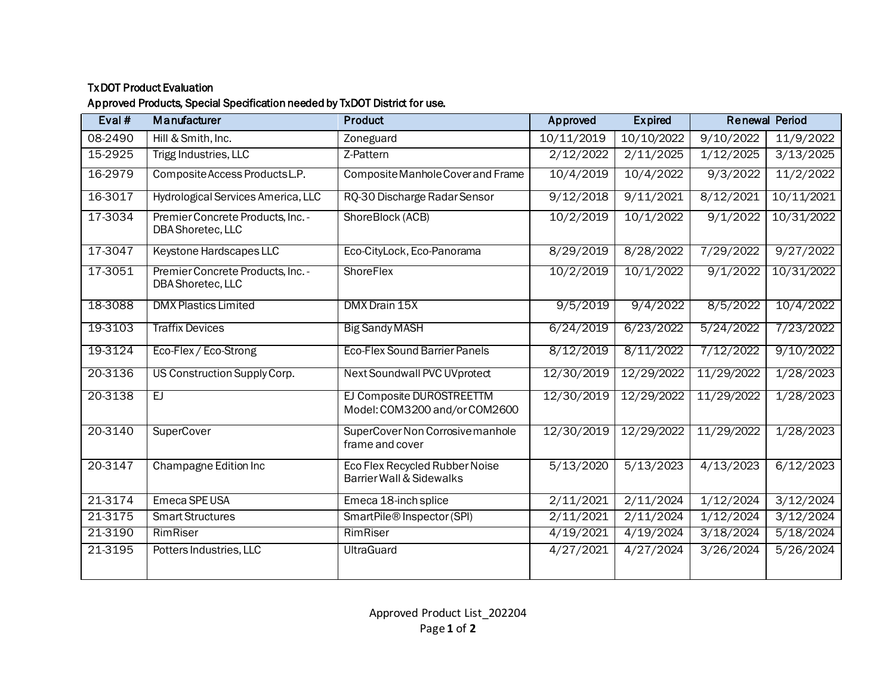## TxDOT Product Evaluation

## Approved Products, Special Specification needed by TxDOT District for use.

| Eval $#$ | Manufacturer                                           | <b>Product</b>                                                        | Approved   | <b>Expired</b> | <b>Renewal Period</b> |            |
|----------|--------------------------------------------------------|-----------------------------------------------------------------------|------------|----------------|-----------------------|------------|
| 08-2490  | Hill & Smith, Inc.                                     | Zoneguard                                                             | 10/11/2019 | 10/10/2022     | 9/10/2022             | 11/9/2022  |
| 15-2925  | Trigg Industries, LLC                                  | Z-Pattern                                                             | 2/12/2022  | 2/11/2025      | 1/12/2025             | 3/13/2025  |
| 16-2979  | Composite Access Products L.P.                         | Composite Manhole Cover and Frame                                     | 10/4/2019  | 10/4/2022      | 9/3/2022              | 11/2/2022  |
| 16-3017  | Hydrological Services America, LLC                     | RQ-30 Discharge Radar Sensor                                          | 9/12/2018  | 9/11/2021      | 8/12/2021             | 10/11/2021 |
| 17-3034  | Premier Concrete Products, Inc. -<br>DBA Shoretec, LLC | ShoreBlock (ACB)                                                      | 10/2/2019  | 10/1/2022      | 9/1/2022              | 10/31/2022 |
| 17-3047  | Keystone Hardscapes LLC                                | Eco-CityLock, Eco-Panorama                                            | 8/29/2019  | 8/28/2022      | 7/29/2022             | 9/27/2022  |
| 17-3051  | Premier Concrete Products, Inc. -<br>DBA Shoretec, LLC | <b>ShoreFlex</b>                                                      | 10/2/2019  | 10/1/2022      | 9/1/2022              | 10/31/2022 |
| 18-3088  | <b>DMX Plastics Limited</b>                            | DMX Drain 15X                                                         | 9/5/2019   | 9/4/2022       | 8/5/2022              | 10/4/2022  |
| 19-3103  | <b>Traffix Devices</b>                                 | <b>Big Sandy MASH</b>                                                 | 6/24/2019  | 6/23/2022      | 5/24/2022             | 7/23/2022  |
| 19-3124  | Eco-Flex / Eco-Strong                                  | <b>Eco-Flex Sound Barrier Panels</b>                                  | 8/12/2019  | 8/11/2022      | 7/12/2022             | 9/10/2022  |
| 20-3136  | US Construction Supply Corp.                           | Next Soundwall PVC UVprotect                                          | 12/30/2019 | 12/29/2022     | 11/29/2022            | 1/28/2023  |
| 20-3138  | EJ                                                     | EJ Composite DUROSTREETTM<br>Model: COM3200 and/or COM2600            | 12/30/2019 | 12/29/2022     | 11/29/2022            | 1/28/2023  |
| 20-3140  | <b>SuperCover</b>                                      | SuperCover Non Corrosive manhole<br>frame and cover                   | 12/30/2019 | 12/29/2022     | 11/29/2022            | 1/28/2023  |
| 20-3147  | Champagne Edition Inc                                  | Eco Flex Recycled Rubber Noise<br><b>Barrier Wall &amp; Sidewalks</b> | 5/13/2020  | 5/13/2023      | 4/13/2023             | 6/12/2023  |
| 21-3174  | Emeca SPE USA                                          | Emeca 18-inch splice                                                  | 2/11/2021  | 2/11/2024      | 1/12/2024             | 3/12/2024  |
| 21-3175  | <b>Smart Structures</b>                                | SmartPile® Inspector (SPI)                                            | 2/11/2021  | 2/11/2024      | 1/12/2024             | 3/12/2024  |
| 21-3190  | RimRiser                                               | RimRiser                                                              | 4/19/2021  | 4/19/2024      | 3/18/2024             | 5/18/2024  |
| 21-3195  | Potters Industries, LLC                                | <b>UltraGuard</b>                                                     | 4/27/2021  | 4/27/2024      | 3/26/2024             | 5/26/2024  |